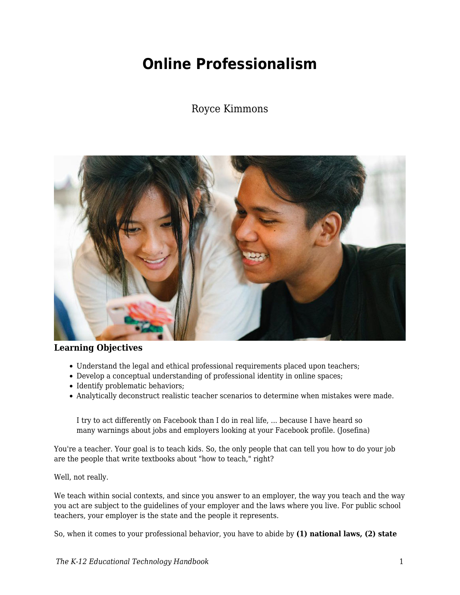# **Online Professionalism**

### Royce Kimmons



#### **Learning Objectives**

- Understand the legal and ethical professional requirements placed upon teachers;
- Develop a conceptual understanding of professional identity in online spaces;
- Identify problematic behaviors;
- Analytically deconstruct realistic teacher scenarios to determine when mistakes were made.

I try to act differently on Facebook than I do in real life, ... because I have heard so many warnings about jobs and employers looking at your Facebook profile. (Josefina)

You're a teacher. Your goal is to teach kids. So, the only people that can tell you how to do your job are the people that write textbooks about "how to teach," right?

Well, not really.

We teach within social contexts, and since you answer to an employer, the way you teach and the way you act are subject to the guidelines of your employer and the laws where you live. For public school teachers, your employer is the state and the people it represents.

So, when it comes to your professional behavior, you have to abide by **(1) national laws, (2) state**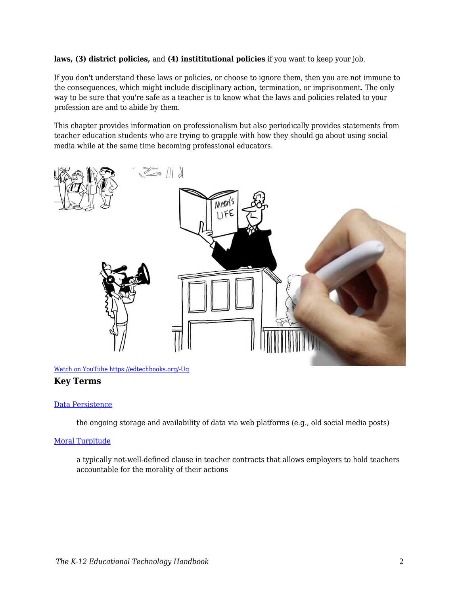#### **laws, (3) district policies,** and **(4) instititutional policies** if you want to keep your job.

If you don't understand these laws or policies, or choose to ignore them, then you are not immune to the consequences, which might include disciplinary action, termination, or imprisonment. The only way to be sure that you're safe as a teacher is to know what the laws and policies related to your profession are and to abide by them.

This chapter provides information on professionalism but also periodically provides statements from teacher education students who are trying to grapple with how they should go about using social media while at the same time becoming professional educators.



[Watch on YouTube https://edtechbooks.org/-Uq](https://www.youtube.com/embed/Dz333YW9awg?autoplay=1&rel=0&showinfo=0&modestbranding=1)

#### **Key Terms**

#### [Data Persistence](https://edtechbooks.org/k12handbook/glossary#data_persistence)

the ongoing storage and availability of data via web platforms (e.g., old social media posts)

#### [Moral Turpitude](https://edtechbooks.org/k12handbook/glossary#moral_turpitude)

a typically not-well-defined clause in teacher contracts that allows employers to hold teachers accountable for the morality of their actions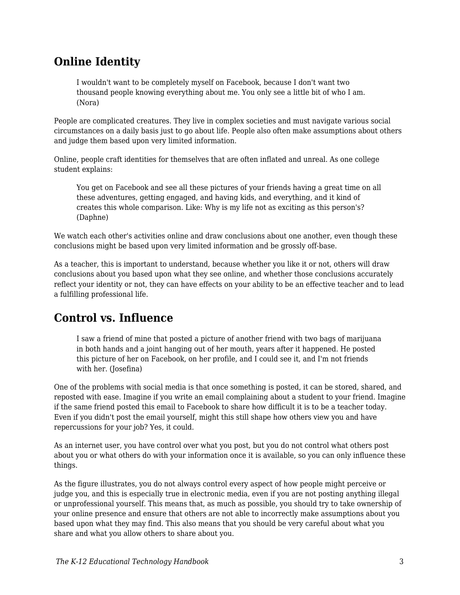# **Online Identity**

I wouldn't want to be completely myself on Facebook, because I don't want two thousand people knowing everything about me. You only see a little bit of who I am. (Nora)

People are complicated creatures. They live in complex societies and must navigate various social circumstances on a daily basis just to go about life. People also often make assumptions about others and judge them based upon very limited information.

Online, people craft identities for themselves that are often inflated and unreal. As one college student explains:

You get on Facebook and see all these pictures of your friends having a great time on all these adventures, getting engaged, and having kids, and everything, and it kind of creates this whole comparison. Like: Why is my life not as exciting as this person's? (Daphne)

We watch each other's activities online and draw conclusions about one another, even though these conclusions might be based upon very limited information and be grossly off-base.

As a teacher, this is important to understand, because whether you like it or not, others will draw conclusions about you based upon what they see online, and whether those conclusions accurately reflect your identity or not, they can have effects on your ability to be an effective teacher and to lead a fulfilling professional life.

# **Control vs. Influence**

I saw a friend of mine that posted a picture of another friend with two bags of marijuana in both hands and a joint hanging out of her mouth, years after it happened. He posted this picture of her on Facebook, on her profile, and I could see it, and I'm not friends with her. (Josefina)

One of the problems with social media is that once something is posted, it can be stored, shared, and reposted with ease. Imagine if you write an email complaining about a student to your friend. Imagine if the same friend posted this email to Facebook to share how difficult it is to be a teacher today. Even if you didn't post the email yourself, might this still shape how others view you and have repercussions for your job? Yes, it could.

As an internet user, you have control over what you post, but you do not control what others post about you or what others do with your information once it is available, so you can only influence these things.

As the figure illustrates, you do not always control every aspect of how people might perceive or judge you, and this is especially true in electronic media, even if you are not posting anything illegal or unprofessional yourself. This means that, as much as possible, you should try to take ownership of your online presence and ensure that others are not able to incorrectly make assumptions about you based upon what they may find. This also means that you should be very careful about what you share and what you allow others to share about you.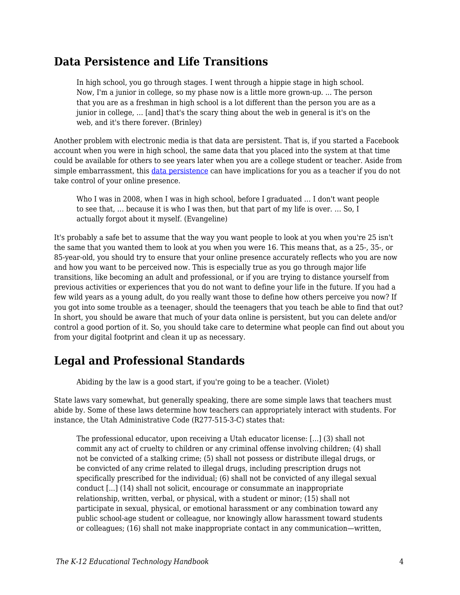### **Data Persistence and Life Transitions**

In high school, you go through stages. I went through a hippie stage in high school. Now, I'm a junior in college, so my phase now is a little more grown-up. ... The person that you are as a freshman in high school is a lot different than the person you are as a junior in college, … [and] that's the scary thing about the web in general is it's on the web, and it's there forever. (Brinley)

Another problem with electronic media is that data are persistent. That is, if you started a Facebook account when you were in high school, the same data that you placed into the system at that time could be available for others to see years later when you are a college student or teacher. Aside from simple embarrassment, this [data persistence](https://edtechbooks.org/k12handbook/glossary#data_persistence) can have implications for you as a teacher if you do not take control of your online presence.

Who I was in 2008, when I was in high school, before I graduated … I don't want people to see that, … because it is who I was then, but that part of my life is over. … So, I actually forgot about it myself. (Evangeline)

It's probably a safe bet to assume that the way you want people to look at you when you're 25 isn't the same that you wanted them to look at you when you were 16. This means that, as a 25-, 35-, or 85-year-old, you should try to ensure that your online presence accurately reflects who you are now and how you want to be perceived now. This is especially true as you go through major life transitions, like becoming an adult and professional, or if you are trying to distance yourself from previous activities or experiences that you do not want to define your life in the future. If you had a few wild years as a young adult, do you really want those to define how others perceive you now? If you got into some trouble as a teenager, should the teenagers that you teach be able to find that out? In short, you should be aware that much of your data online is persistent, but you can delete and/or control a good portion of it. So, you should take care to determine what people can find out about you from your digital footprint and clean it up as necessary.

## **Legal and Professional Standards**

Abiding by the law is a good start, if you're going to be a teacher. (Violet)

State laws vary somewhat, but generally speaking, there are some simple laws that teachers must abide by. Some of these laws determine how teachers can appropriately interact with students. For instance, the Utah Administrative Code (R277-515-3-C) states that:

The professional educator, upon receiving a Utah educator license: [...] (3) shall not commit any act of cruelty to children or any criminal offense involving children; (4) shall not be convicted of a stalking crime; (5) shall not possess or distribute illegal drugs, or be convicted of any crime related to illegal drugs, including prescription drugs not specifically prescribed for the individual; (6) shall not be convicted of any illegal sexual conduct [...] (14) shall not solicit, encourage or consummate an inappropriate relationship, written, verbal, or physical, with a student or minor; (15) shall not participate in sexual, physical, or emotional harassment or any combination toward any public school-age student or colleague, nor knowingly allow harassment toward students or colleagues; (16) shall not make inappropriate contact in any communication—written,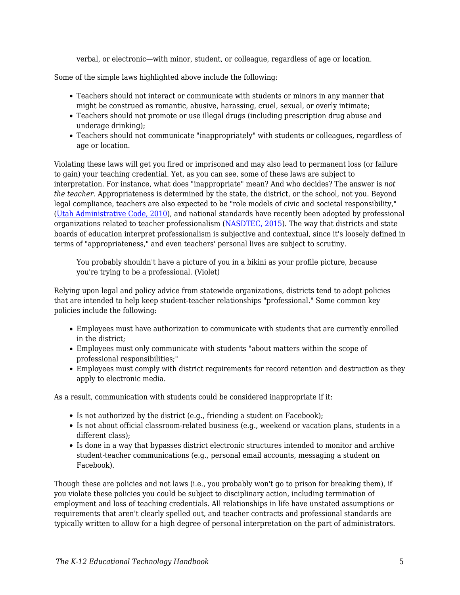verbal, or electronic—with minor, student, or colleague, regardless of age or location.

Some of the simple laws highlighted above include the following:

- Teachers should not interact or communicate with students or minors in any manner that might be construed as romantic, abusive, harassing, cruel, sexual, or overly intimate;
- Teachers should not promote or use illegal drugs (including prescription drug abuse and underage drinking);
- Teachers should not communicate "inappropriately" with students or colleagues, regardless of age or location.

Violating these laws will get you fired or imprisoned and may also lead to permanent loss (or failure to gain) your teaching credential. Yet, as you can see, some of these laws are subject to interpretation. For instance, what does "inappropriate" mean? And who decides? The answer is *not the teacher*. Appropriateness is determined by the state, the district, or the school, not you. Beyond legal compliance, teachers are also expected to be "role models of civic and societal responsibility," ([Utah Administrative Code, 2010\)](http://www.rules.utah.gov/publicat/code/r277/r277-515.htm#T3), and national standards have recently been adopted by professional organizations related to teacher professionalism ([NASDTEC, 2015\)](http://www.nasdtec.net/?page=MCEE_Doc). The way that districts and state boards of education interpret professionalism is subjective and contextual, since it's loosely defined in terms of "appropriateness," and even teachers' personal lives are subject to scrutiny.

You probably shouldn't have a picture of you in a bikini as your profile picture, because you're trying to be a professional. (Violet)

Relying upon legal and policy advice from statewide organizations, districts tend to adopt policies that are intended to help keep student-teacher relationships "professional." Some common key policies include the following:

- Employees must have authorization to communicate with students that are currently enrolled in the district;
- Employees must only communicate with students "about matters within the scope of professional responsibilities;"
- Employees must comply with district requirements for record retention and destruction as they apply to electronic media.

As a result, communication with students could be considered inappropriate if it:

- Is not authorized by the district (e.g., friending a student on Facebook);
- Is not about official classroom-related business (e.g., weekend or vacation plans, students in a different class);
- Is done in a way that bypasses district electronic structures intended to monitor and archive student-teacher communications (e.g., personal email accounts, messaging a student on Facebook).

Though these are policies and not laws (i.e., you probably won't go to prison for breaking them), if you violate these policies you could be subject to disciplinary action, including termination of employment and loss of teaching credentials. All relationships in life have unstated assumptions or requirements that aren't clearly spelled out, and teacher contracts and professional standards are typically written to allow for a high degree of personal interpretation on the part of administrators.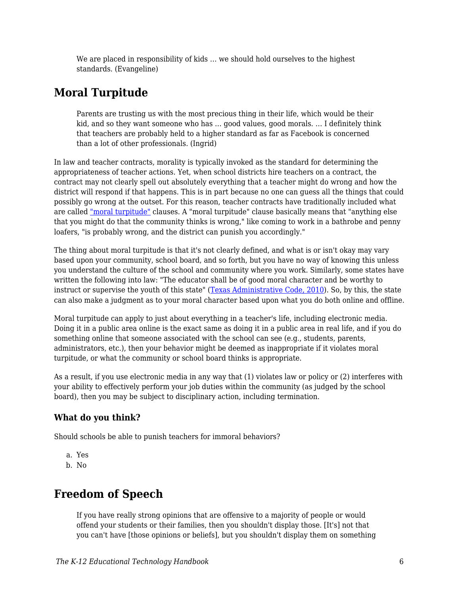We are placed in responsibility of kids … we should hold ourselves to the highest standards. (Evangeline)

# **Moral Turpitude**

Parents are trusting us with the most precious thing in their life, which would be their kid, and so they want someone who has ... good values, good morals. ... I definitely think that teachers are probably held to a higher standard as far as Facebook is concerned than a lot of other professionals. (Ingrid)

In law and teacher contracts, morality is typically invoked as the standard for determining the appropriateness of teacher actions. Yet, when school districts hire teachers on a contract, the contract may not clearly spell out absolutely everything that a teacher might do wrong and how the district will respond if that happens. This is in part because no one can guess all the things that could possibly go wrong at the outset. For this reason, teacher contracts have traditionally included what are called ["moral turpitude"](https://edtechbooks.org/k12handbook/glossary#moralturp) clauses. A "moral turpitude" clause basically means that "anything else that you might do that the community thinks is wrong," like coming to work in a bathrobe and penny loafers, "is probably wrong, and the district can punish you accordingly."

The thing about moral turpitude is that it's not clearly defined, and what is or isn't okay may vary based upon your community, school board, and so forth, but you have no way of knowing this unless you understand the culture of the school and community where you work. Similarly, some states have written the following into law: "The educator shall be of good moral character and be worthy to instruct or supervise the youth of this state" [\(Texas Administrative Code, 2010](http://community.edb.utexas.edu/socialmedia/ideassm_training_content/menu-training/4?q=node/57)). So, by this, the state can also make a judgment as to your moral character based upon what you do both online and offline.

Moral turpitude can apply to just about everything in a teacher's life, including electronic media. Doing it in a public area online is the exact same as doing it in a public area in real life, and if you do something online that someone associated with the school can see (e.g., students, parents, administrators, etc.), then your behavior might be deemed as inappropriate if it violates moral turpitude, or what the community or school board thinks is appropriate.

As a result, if you use electronic media in any way that (1) violates law or policy or (2) interferes with your ability to effectively perform your job duties within the community (as judged by the school board), then you may be subject to disciplinary action, including termination.

### **What do you think?**

Should schools be able to punish teachers for immoral behaviors?

- a. Yes
- b. No

# **Freedom of Speech**

If you have really strong opinions that are offensive to a majority of people or would offend your students or their families, then you shouldn't display those. [It's] not that you can't have [those opinions or beliefs], but you shouldn't display them on something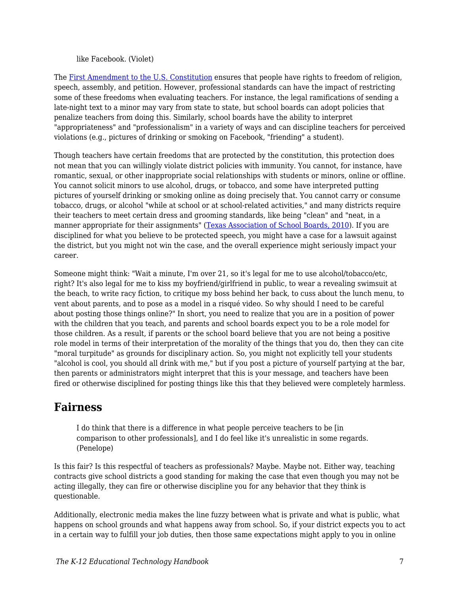#### like Facebook. (Violet)

The [First Amendment to the U.S. Constitution](https://en.wikipedia.org/wiki/First_Amendment_to_the_United_States_Constitution) ensures that people have rights to freedom of religion, speech, assembly, and petition. However, professional standards can have the impact of restricting some of these freedoms when evaluating teachers. For instance, the legal ramifications of sending a late-night text to a minor may vary from state to state, but school boards can adopt policies that penalize teachers from doing this. Similarly, school boards have the ability to interpret "appropriateness" and "professionalism" in a variety of ways and can discipline teachers for perceived violations (e.g., pictures of drinking or smoking on Facebook, "friending" a student).

Though teachers have certain freedoms that are protected by the constitution, this protection does not mean that you can willingly violate district policies with immunity. You cannot, for instance, have romantic, sexual, or other inappropriate social relationships with students or minors, online or offline. You cannot solicit minors to use alcohol, drugs, or tobacco, and some have interpreted putting pictures of yourself drinking or smoking online as doing precisely that. You cannot carry or consume tobacco, drugs, or alcohol "while at school or at school-related activities," and many districts require their teachers to meet certain dress and grooming standards, like being "clean" and "neat, in a manner appropriate for their assignments" ([Texas Association of School Boards, 2010\)](http://community.edb.utexas.edu/socialmedia/ideassm_training_content/menu-training/4?q=node/58). If you are disciplined for what you believe to be protected speech, you might have a case for a lawsuit against the district, but you might not win the case, and the overall experience might seriously impact your career.

Someone might think: "Wait a minute, I'm over 21, so it's legal for me to use alcohol/tobacco/etc, right? It's also legal for me to kiss my boyfriend/girlfriend in public, to wear a revealing swimsuit at the beach, to write racy fiction, to critique my boss behind her back, to cuss about the lunch menu, to vent about parents, and to pose as a model in a risqué video. So why should I need to be careful about posting those things online?" In short, you need to realize that you are in a position of power with the children that you teach, and parents and school boards expect you to be a role model for those children. As a result, if parents or the school board believe that you are not being a positive role model in terms of their interpretation of the morality of the things that you do, then they can cite "moral turpitude" as grounds for disciplinary action. So, you might not explicitly tell your students "alcohol is cool, you should all drink with me," but if you post a picture of yourself partying at the bar, then parents or administrators might interpret that this is your message, and teachers have been fired or otherwise disciplined for posting things like this that they believed were completely harmless.

### **Fairness**

I do think that there is a difference in what people perceive teachers to be [in comparison to other professionals], and I do feel like it's unrealistic in some regards. (Penelope)

Is this fair? Is this respectful of teachers as professionals? Maybe. Maybe not. Either way, teaching contracts give school districts a good standing for making the case that even though you may not be acting illegally, they can fire or otherwise discipline you for any behavior that they think is questionable.

Additionally, electronic media makes the line fuzzy between what is private and what is public, what happens on school grounds and what happens away from school. So, if your district expects you to act in a certain way to fulfill your job duties, then those same expectations might apply to you in online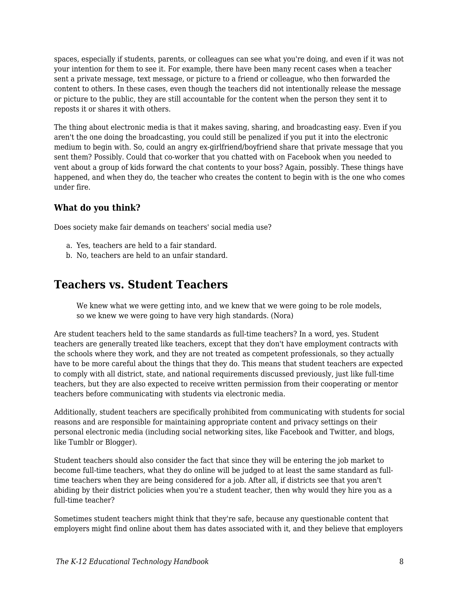spaces, especially if students, parents, or colleagues can see what you're doing, and even if it was not your intention for them to see it. For example, there have been many recent cases when a teacher sent a private message, text message, or picture to a friend or colleague, who then forwarded the content to others. In these cases, even though the teachers did not intentionally release the message or picture to the public, they are still accountable for the content when the person they sent it to reposts it or shares it with others.

The thing about electronic media is that it makes saving, sharing, and broadcasting easy. Even if you aren't the one doing the broadcasting, you could still be penalized if you put it into the electronic medium to begin with. So, could an angry ex-girlfriend/boyfriend share that private message that you sent them? Possibly. Could that co-worker that you chatted with on Facebook when you needed to vent about a group of kids forward the chat contents to your boss? Again, possibly. These things have happened, and when they do, the teacher who creates the content to begin with is the one who comes under fire.

### **What do you think?**

Does society make fair demands on teachers' social media use?

- a. Yes, teachers are held to a fair standard.
- b. No, teachers are held to an unfair standard.

### **Teachers vs. Student Teachers**

We knew what we were getting into, and we knew that we were going to be role models, so we knew we were going to have very high standards. (Nora)

Are student teachers held to the same standards as full-time teachers? In a word, yes. Student teachers are generally treated like teachers, except that they don't have employment contracts with the schools where they work, and they are not treated as competent professionals, so they actually have to be more careful about the things that they do. This means that student teachers are expected to comply with all district, state, and national requirements discussed previously, just like full-time teachers, but they are also expected to receive written permission from their cooperating or mentor teachers before communicating with students via electronic media.

Additionally, student teachers are specifically prohibited from communicating with students for social reasons and are responsible for maintaining appropriate content and privacy settings on their personal electronic media (including social networking sites, like Facebook and Twitter, and blogs, like Tumblr or Blogger).

Student teachers should also consider the fact that since they will be entering the job market to become full-time teachers, what they do online will be judged to at least the same standard as fulltime teachers when they are being considered for a job. After all, if districts see that you aren't abiding by their district policies when you're a student teacher, then why would they hire you as a full-time teacher?

Sometimes student teachers might think that they're safe, because any questionable content that employers might find online about them has dates associated with it, and they believe that employers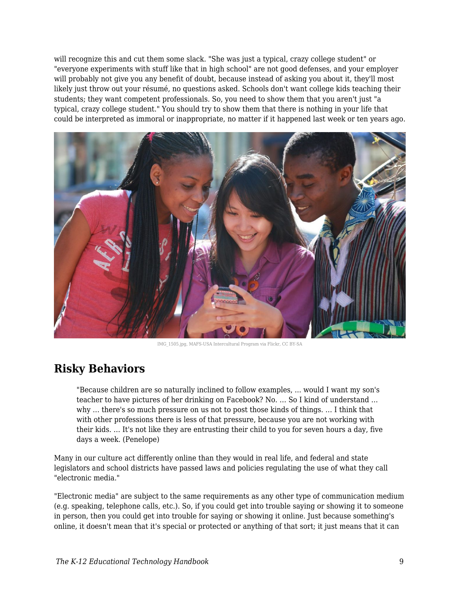will recognize this and cut them some slack. "She was just a typical, crazy college student" or "everyone experiments with stuff like that in high school" are not good defenses, and your employer will probably not give you any benefit of doubt, because instead of asking you about it, they'll most likely just throw out your résumé, no questions asked. Schools don't want college kids teaching their students; they want competent professionals. So, you need to show them that you aren't just "a typical, crazy college student." You should try to show them that there is nothing in your life that could be interpreted as immoral or inappropriate, no matter if it happened last week or ten years ago.



IMG\_1505.jpg, MAFS-USA Intercultural Program via Flickr, CC BY-SA

# **Risky Behaviors**

"Because children are so naturally inclined to follow examples, ... would I want my son's teacher to have pictures of her drinking on Facebook? No. … So I kind of understand … why … there's so much pressure on us not to post those kinds of things. … I think that with other professions there is less of that pressure, because you are not working with their kids. … It's not like they are entrusting their child to you for seven hours a day, five days a week. (Penelope)

Many in our culture act differently online than they would in real life, and federal and state legislators and school districts have passed laws and policies regulating the use of what they call "electronic media."

"Electronic media" are subject to the same requirements as any other type of communication medium (e.g. speaking, telephone calls, etc.). So, if you could get into trouble saying or showing it to someone in person, then you could get into trouble for saying or showing it online. Just because something's online, it doesn't mean that it's special or protected or anything of that sort; it just means that it can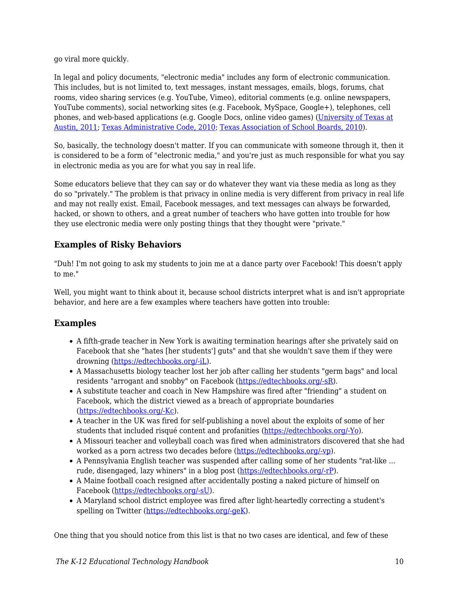go viral more quickly.

In legal and policy documents, "electronic media" includes any form of electronic communication. This includes, but is not limited to, text messages, instant messages, emails, blogs, forums, chat rooms, video sharing services (e.g. YouTube, Vimeo), editorial comments (e.g. online newspapers, YouTube comments), social networking sites (e.g. Facebook, MySpace, Google+), telephones, cell phones, and web-based applications (e.g. Google Docs, online video games) ([University of Texas at](http://community.edb.utexas.edu/socialmedia/ideassm_training_content/menu-training/3?q=node/59) [Austin, 2011;](http://community.edb.utexas.edu/socialmedia/ideassm_training_content/menu-training/3?q=node/59) [Texas Administrative Code, 2010;](http://community.edb.utexas.edu/socialmedia/ideassm_training_content/menu-training/3?q=node/57) [Texas Association of School Boards, 2010\)](http://community.edb.utexas.edu/socialmedia/ideassm_training_content/menu-training/3?q=node/58).

So, basically, the technology doesn't matter. If you can communicate with someone through it, then it is considered to be a form of "electronic media," and you're just as much responsible for what you say in electronic media as you are for what you say in real life.

Some educators believe that they can say or do whatever they want via these media as long as they do so "privately." The problem is that privacy in online media is very different from privacy in real life and may not really exist. Email, Facebook messages, and text messages can always be forwarded, hacked, or shown to others, and a great number of teachers who have gotten into trouble for how they use electronic media were only posting things that they thought were "private."

### **Examples of Risky Behaviors**

"Duh! I'm not going to ask my students to join me at a dance party over Facebook! This doesn't apply to me."

Well, you might want to think about it, because school districts interpret what is and isn't appropriate behavior, and here are a few examples where teachers have gotten into trouble:

### **Examples**

- A fifth-grade teacher in New York is awaiting termination hearings after she privately said on Facebook that she "hates [her students'] guts" and that she wouldn't save them if they were drowning ([https://edtechbooks.org/-iL](https://www.huffingtonpost.com/2011/03/14/teacher-christine-rubino-_n_835586.html)).
- A Massachusetts biology teacher lost her job after calling her students "germ bags" and local residents "arrogant and snobby" on Facebook ([https://edtechbooks.org/-sR](https://abcnews.go.com/Technology/facebook-firing-teacher-loses-job-commenting-students-parents/story?id=11437248)).
- A substitute teacher and coach in New Hampshire was fired after "friending" a student on Facebook, which the district viewed as a breach of appropriate boundaries ([https://edtechbooks.org/-Kc\)](https://www.greatfallstribune.com/story/life/2014/04/28/teacher-fired-for-friending-her-students/8347061/).
- A teacher in the UK was fired for self-publishing a novel about the exploits of some of her students that included risqué content and profanities ([https://edtechbooks.org/-Yo](https://www.independent.co.uk/news/education/education-news/teachers-racy-novel-to-encourage-pupils-to-read-1735250.html)).
- A Missouri teacher and volleyball coach was fired when administrators discovered that she had worked as a porn actress two decades before [\(https://edtechbooks.org/-vp](https://blog.sfgate.com/hottopics/2011/03/09/teacher-fired-for-porn-star-past/)).
- A Pennsylvania English teacher was suspended after calling some of her students "rat-like ... rude, disengaged, lazy whiners" in a blog post [\(https://edtechbooks.org/-rP](https://theweek.com/articles/487144/should-teacher-fired-blogging)).
- A Maine football coach resigned after accidentally posting a naked picture of himself on Facebook [\(https://edtechbooks.org/-sU\)](http://sports.yahoo.com/blogs/highschool-prep-rally/maine-football-coach-resigns-accidentally-posting-naked-photo-233913817.html).
- A Maryland school district employee was fired after light-heartedly correcting a student's spelling on Twitter ([https://edtechbooks.org/-geK\)](https://www.nydailynews.com/news/national/maryland-school-district-employee-fired-tweet-article-1.2947002).

One thing that you should notice from this list is that no two cases are identical, and few of these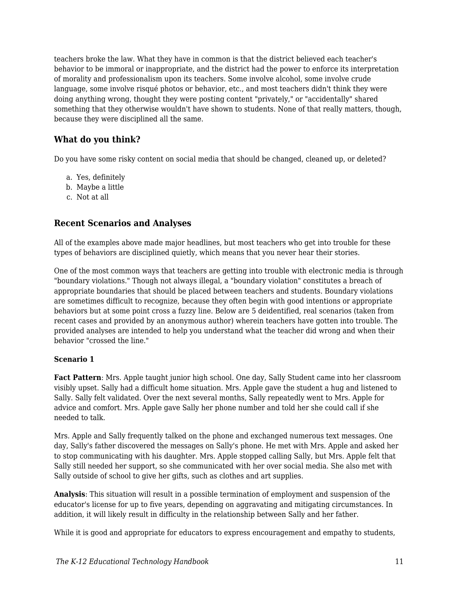teachers broke the law. What they have in common is that the district believed each teacher's behavior to be immoral or inappropriate, and the district had the power to enforce its interpretation of morality and professionalism upon its teachers. Some involve alcohol, some involve crude language, some involve risqué photos or behavior, etc., and most teachers didn't think they were doing anything wrong, thought they were posting content "privately," or "accidentally" shared something that they otherwise wouldn't have shown to students. None of that really matters, though, because they were disciplined all the same.

### **What do you think?**

Do you have some risky content on social media that should be changed, cleaned up, or deleted?

- a. Yes, definitely
- b. Maybe a little
- c. Not at all

### **Recent Scenarios and Analyses**

All of the examples above made major headlines, but most teachers who get into trouble for these types of behaviors are disciplined quietly, which means that you never hear their stories.

One of the most common ways that teachers are getting into trouble with electronic media is through "boundary violations." Though not always illegal, a "boundary violation" constitutes a breach of appropriate boundaries that should be placed between teachers and students. Boundary violations are sometimes difficult to recognize, because they often begin with good intentions or appropriate behaviors but at some point cross a fuzzy line. Below are 5 deidentified, real scenarios (taken from recent cases and provided by an anonymous author) wherein teachers have gotten into trouble. The provided analyses are intended to help you understand what the teacher did wrong and when their behavior "crossed the line."

#### **Scenario 1**

**Fact Pattern**: Mrs. Apple taught junior high school. One day, Sally Student came into her classroom visibly upset. Sally had a difficult home situation. Mrs. Apple gave the student a hug and listened to Sally. Sally felt validated. Over the next several months, Sally repeatedly went to Mrs. Apple for advice and comfort. Mrs. Apple gave Sally her phone number and told her she could call if she needed to talk.

Mrs. Apple and Sally frequently talked on the phone and exchanged numerous text messages. One day, Sally's father discovered the messages on Sally's phone. He met with Mrs. Apple and asked her to stop communicating with his daughter. Mrs. Apple stopped calling Sally, but Mrs. Apple felt that Sally still needed her support, so she communicated with her over social media. She also met with Sally outside of school to give her gifts, such as clothes and art supplies.

**Analysis**: This situation will result in a possible termination of employment and suspension of the educator's license for up to five years, depending on aggravating and mitigating circumstances. In addition, it will likely result in difficulty in the relationship between Sally and her father.

While it is good and appropriate for educators to express encouragement and empathy to students,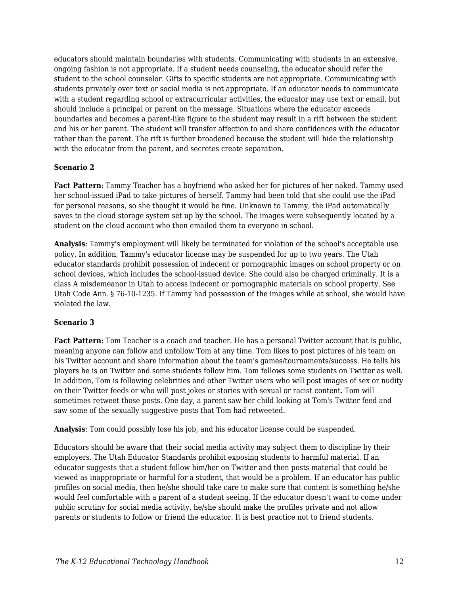educators should maintain boundaries with students. Communicating with students in an extensive, ongoing fashion is not appropriate. If a student needs counseling, the educator should refer the student to the school counselor. Gifts to specific students are not appropriate. Communicating with students privately over text or social media is not appropriate. If an educator needs to communicate with a student regarding school or extracurricular activities, the educator may use text or email, but should include a principal or parent on the message. Situations where the educator exceeds boundaries and becomes a parent-like figure to the student may result in a rift between the student and his or her parent. The student will transfer affection to and share confidences with the educator rather than the parent. The rift is further broadened because the student will hide the relationship with the educator from the parent, and secretes create separation.

#### **Scenario 2**

**Fact Pattern**: Tammy Teacher has a boyfriend who asked her for pictures of her naked. Tammy used her school-issued iPad to take pictures of herself. Tammy had been told that she could use the iPad for personal reasons, so she thought it would be fine. Unknown to Tammy, the iPad automatically saves to the cloud storage system set up by the school. The images were subsequently located by a student on the cloud account who then emailed them to everyone in school.

**Analysis**: Tammy's employment will likely be terminated for violation of the school's acceptable use policy. In addition, Tammy's educator license may be suspended for up to two years. The Utah educator standards prohibit possession of indecent or pornographic images on school property or on school devices, which includes the school-issued device. She could also be charged criminally. It is a class A misdemeanor in Utah to access indecent or pornographic materials on school property. See Utah Code Ann. § 76-10-1235. If Tammy had possession of the images while at school, she would have violated the law.

#### **Scenario 3**

**Fact Pattern**: Tom Teacher is a coach and teacher. He has a personal Twitter account that is public, meaning anyone can follow and unfollow Tom at any time. Tom likes to post pictures of his team on his Twitter account and share information about the team's games/tournaments/success. He tells his players he is on Twitter and some students follow him. Tom follows some students on Twitter as well. In addition, Tom is following celebrities and other Twitter users who will post images of sex or nudity on their Twitter feeds or who will post jokes or stories with sexual or racist content. Tom will sometimes retweet those posts. One day, a parent saw her child looking at Tom's Twitter feed and saw some of the sexually suggestive posts that Tom had retweeted.

**Analysis**: Tom could possibly lose his job, and his educator license could be suspended.

Educators should be aware that their social media activity may subject them to discipline by their employers. The Utah Educator Standards prohibit exposing students to harmful material. If an educator suggests that a student follow him/her on Twitter and then posts material that could be viewed as inappropriate or harmful for a student, that would be a problem. If an educator has public profiles on social media, then he/she should take care to make sure that content is something he/she would feel comfortable with a parent of a student seeing. If the educator doesn't want to come under public scrutiny for social media activity, he/she should make the profiles private and not allow parents or students to follow or friend the educator. It is best practice not to friend students.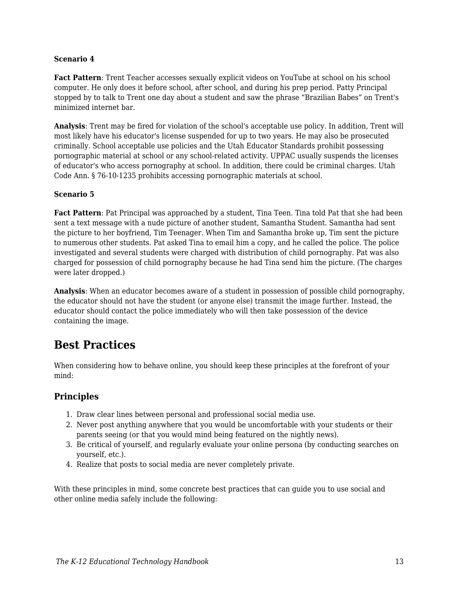#### **Scenario 4**

**Fact Pattern**: Trent Teacher accesses sexually explicit videos on YouTube at school on his school computer. He only does it before school, after school, and during his prep period. Patty Principal stopped by to talk to Trent one day about a student and saw the phrase "Brazilian Babes" on Trent's minimized internet bar.

**Analysis**: Trent may be fired for violation of the school's acceptable use policy. In addition, Trent will most likely have his educator's license suspended for up to two years. He may also be prosecuted criminally. School acceptable use policies and the Utah Educator Standards prohibit possessing pornographic material at school or any school-related activity. UPPAC usually suspends the licenses of educator's who access pornography at school. In addition, there could be criminal charges. Utah Code Ann. § 76-10-1235 prohibits accessing pornographic materials at school.

#### **Scenario 5**

**Fact Pattern**: Pat Principal was approached by a student, Tina Teen. Tina told Pat that she had been sent a text message with a nude picture of another student, Samantha Student. Samantha had sent the picture to her boyfriend, Tim Teenager. When Tim and Samantha broke up, Tim sent the picture to numerous other students. Pat asked Tina to email him a copy, and he called the police. The police investigated and several students were charged with distribution of child pornography. Pat was also charged for possession of child pornography because he had Tina send him the picture. (The charges were later dropped.)

**Analysis**: When an educator becomes aware of a student in possession of possible child pornography, the educator should not have the student (or anyone else) transmit the image further. Instead, the educator should contact the police immediately who will then take possession of the device containing the image.

### **Best Practices**

When considering how to behave online, you should keep these principles at the forefront of your mind:

#### **Principles**

- 1. Draw clear lines between personal and professional social media use.
- 2. Never post anything anywhere that you would be uncomfortable with your students or their parents seeing (or that you would mind being featured on the nightly news).
- 3. Be critical of yourself, and regularly evaluate your online persona (by conducting searches on yourself, etc.).
- 4. Realize that posts to social media are never completely private.

With these principles in mind, some concrete best practices that can guide you to use social and other online media safely include the following: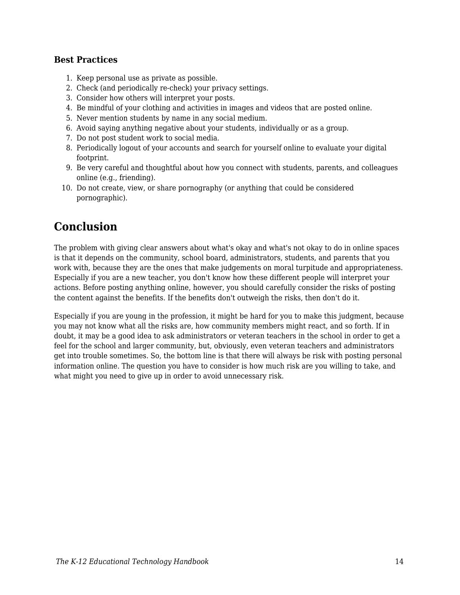### **Best Practices**

- 1. Keep personal use as private as possible.
- 2. Check (and periodically re-check) your privacy settings.
- 3. Consider how others will interpret your posts.
- 4. Be mindful of your clothing and activities in images and videos that are posted online.
- 5. Never mention students by name in any social medium.
- 6. Avoid saying anything negative about your students, individually or as a group.
- 7. Do not post student work to social media.
- 8. Periodically logout of your accounts and search for yourself online to evaluate your digital footprint.
- 9. Be very careful and thoughtful about how you connect with students, parents, and colleagues online (e.g., friending).
- 10. Do not create, view, or share pornography (or anything that could be considered pornographic).

# **Conclusion**

The problem with giving clear answers about what's okay and what's not okay to do in online spaces is that it depends on the community, school board, administrators, students, and parents that you work with, because they are the ones that make judgements on moral turpitude and appropriateness. Especially if you are a new teacher, you don't know how these different people will interpret your actions. Before posting anything online, however, you should carefully consider the risks of posting the content against the benefits. If the benefits don't outweigh the risks, then don't do it.

Especially if you are young in the profession, it might be hard for you to make this judgment, because you may not know what all the risks are, how community members might react, and so forth. If in doubt, it may be a good idea to ask administrators or veteran teachers in the school in order to get a feel for the school and larger community, but, obviously, even veteran teachers and administrators get into trouble sometimes. So, the bottom line is that there will always be risk with posting personal information online. The question you have to consider is how much risk are you willing to take, and what might you need to give up in order to avoid unnecessary risk.